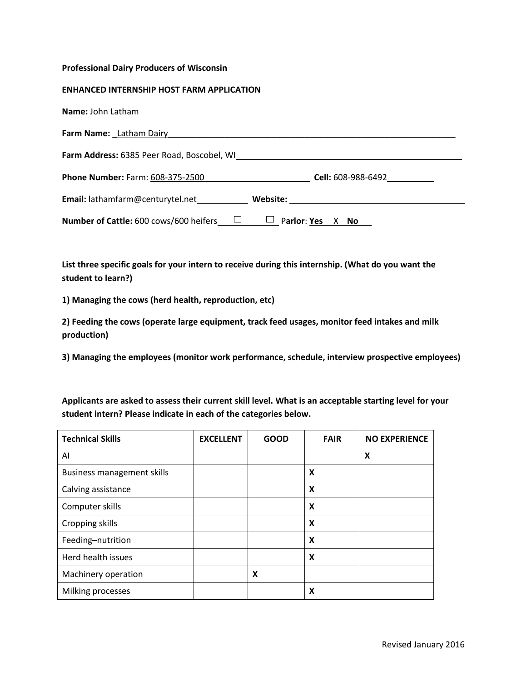## **Professional Dairy Producers of Wisconsin**

## **ENHANCED INTERNSHIP HOST FARM APPLICATION**

| Farm Name: Latham Dairy Management Communication of the United States and Taylor States and Taylor States and T |                           |
|-----------------------------------------------------------------------------------------------------------------|---------------------------|
|                                                                                                                 |                           |
| <b>Phone Number: Farm: 608-375-2500</b>                                                                         | <b>Cell:</b> 608-988-6492 |
| Email: lathamfarm@centurytel.net________________Website: _______________________                                |                           |
| Number of Cattle: 600 cows/600 heifers_<br>ш                                                                    | Parlor: Yes<br>No<br>X.   |

**List three specific goals for your intern to receive during this internship. (What do you want the student to learn?)**

**1) Managing the cows (herd health, reproduction, etc)**

**2) Feeding the cows (operate large equipment, track feed usages, monitor feed intakes and milk production)**

**3) Managing the employees (monitor work performance, schedule, interview prospective employees)**

**Applicants are asked to assess their current skill level. What is an acceptable starting level for your student intern? Please indicate in each of the categories below.**

| <b>Technical Skills</b>           | <b>EXCELLENT</b> | <b>GOOD</b> | <b>FAIR</b> | <b>NO EXPERIENCE</b> |
|-----------------------------------|------------------|-------------|-------------|----------------------|
| AI                                |                  |             |             | X                    |
| <b>Business management skills</b> |                  |             | X           |                      |
| Calving assistance                |                  |             | X           |                      |
| Computer skills                   |                  |             | X           |                      |
| Cropping skills                   |                  |             | X           |                      |
| Feeding-nutrition                 |                  |             | X           |                      |
| Herd health issues                |                  |             | X           |                      |
| Machinery operation               |                  | X           |             |                      |
| Milking processes                 |                  |             | X           |                      |